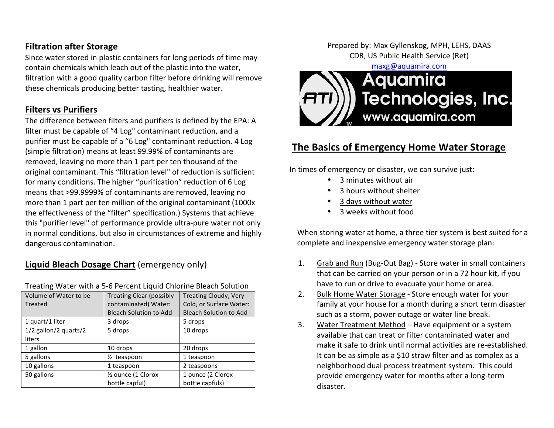#### **Filtration after Storage**

Since water stored in plastic containers for long periods of time may contain chemicals which leach out of the plastic into the water, filtration with a good quality carbon filter before drinking will remove these chemicals producing better tasting, healthier water.

#### **Filters vs Purifiers**

The difference between filters and purifiers is defined by the EPA: A filter must be capable of "4 Log" contaminant reduction, and a purifier must be capable of a "6 Log" contaminant reduction. 4 Log (simple filtration) means at least 99.99% of contaminants are removed, leaving no more than 1 part per ten thousand of the original contaminant. This "filtration level" of reduction is sufficient for many conditions. The higher "purification" reduction of 6 Log means that >99.9999% of contaminants are removed, leaving no more than 1 part per ten million of the original contaminant (1000x) the effectiveness of the "filter" specification.) Systems that achieve this "purifier level" of performance provide ultra-pure water not only in normal conditions, but also in circumstances of extreme and highly dangerous contamination.

# **Liquid Bleach Dosage Chart** (emergency only)

| Volume of Water to be<br>Treated | <b>Treating Clear (possibly</b><br>contaminated) Water:<br><b>Bleach Solution to Add</b> | <b>Treating Cloudy, Very</b><br>Cold, or Surface Water:<br><b>Bleach Solution to Add</b> |
|----------------------------------|------------------------------------------------------------------------------------------|------------------------------------------------------------------------------------------|
| 1 quart/1 liter                  | 3 drops                                                                                  | 5 drops                                                                                  |
| 1/2 gallon/2 quarts/2<br>liters  | 5 drops                                                                                  | 10 drops                                                                                 |
| 1 gallon                         | 10 drops                                                                                 | 20 drops                                                                                 |
| 5 gallons                        | 1/ <sub>2</sub> teaspoon                                                                 | 1 teaspoon                                                                               |
| 10 gallons                       | 1 teaspoon                                                                               | 2 teaspoons                                                                              |
| 50 gallons                       | 1/2 ounce (1 Clorox<br>bottle capful)                                                    | 1 ounce (2 Clorox<br>bottle capfuls)                                                     |

#### Treating Water with a 5-6 Percent Liquid Chlorine Bleach Solution

Prepared by: Max Gyllenskog, MPH, LEHS, DAAS CDR, US Public Health Service (Ret)

maxg@aquamira.com 



# **The Basics of Emergency Home Water Storage**

In times of emergency or disaster, we can survive just:

- 3 minutes without air
- 3 hours without shelter
- 3 days without water
- 3 weeks without food

When storing water at home, a three tier system is best suited for a complete and inexpensive emergency water storage plan:

- 1. Grab and Run (Bug-Out Bag) Store water in small containers that can be carried on your person or in a 72 hour kit, if you have to run or drive to evacuate your home or area.
- 2. Bulk Home Water Storage Store enough water for your family at your house for a month during a short term disaster such as a storm, power outage or water line break.
- 3. Water Treatment Method Have equipment or a system available that can treat or filter contaminated water and make it safe to drink until normal activities are re-established. It can be as simple as a \$10 straw filter and as complex as a neighborhood dual process treatment system. This could provide emergency water for months after a long-term disaster.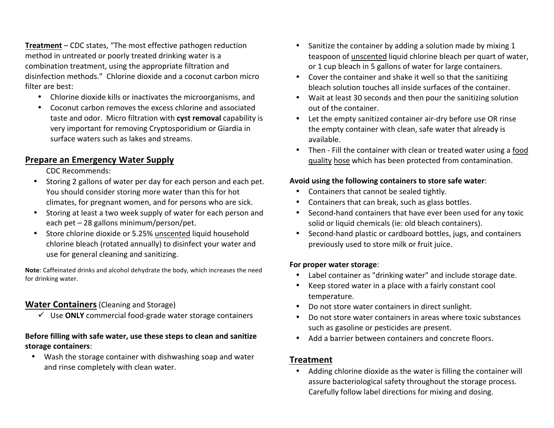**Treatment** – CDC states, "The most effective pathogen reduction method in untreated or poorly treated drinking water is a combination treatment, using the appropriate filtration and disinfection methods." Chlorine dioxide and a coconut carbon micro filter are best:

- Chlorine dioxide kills or inactivates the microorganisms, and
- Coconut carbon removes the excess chlorine and associated taste and odor. Micro filtration with **cyst removal** capability is very important for removing Cryptosporidium or Giardia in surface waters such as lakes and streams.

### **Prepare an Emergency Water Supply**

CDC Recommends:

- Storing 2 gallons of water per day for each person and each pet. You should consider storing more water than this for hot climates, for pregnant women, and for persons who are sick.
- Storing at least a two week supply of water for each person and each  $pet - 28$  gallons minimum/person/pet.
- Store chlorine dioxide or 5.25% unscented liquid household chlorine bleach (rotated annually) to disinfect your water and use for general cleaning and sanitizing.

**Note:** Caffeinated drinks and alcohol dehydrate the body, which increases the need for drinking water.

### **Water Containers** (Cleaning and Storage)

 $\checkmark$  Use **ONLY** commercial food-grade water storage containers

#### Before filling with safe water, use these steps to clean and sanitize **storage containers**:

• Wash the storage container with dishwashing soap and water and rinse completely with clean water.

- Sanitize the container by adding a solution made by mixing 1 teaspoon of unscented liquid chlorine bleach per quart of water, or 1 cup bleach in 5 gallons of water for large containers.
- Cover the container and shake it well so that the sanitizing bleach solution touches all inside surfaces of the container.
- Wait at least 30 seconds and then pour the sanitizing solution out of the container.
- Let the empty sanitized container air-dry before use OR rinse the empty container with clean, safe water that already is available.
- Then Fill the container with clean or treated water using a food quality hose which has been protected from contamination.

#### Avoid using the following containers to store safe water:

- Containers that cannot be sealed tightly.
- Containers that can break, such as glass bottles.
- Second-hand containers that have ever been used for any toxic solid or liquid chemicals (ie: old bleach containers).
- Second-hand plastic or cardboard bottles, jugs, and containers previously used to store milk or fruit juice.

#### **For proper water storage:**

- Label container as "drinking water" and include storage date.
- Keep stored water in a place with a fairly constant cool temperature.
- Do not store water containers in direct sunlight.
- Do not store water containers in areas where toxic substances such as gasoline or pesticides are present.
- Add a barrier between containers and concrete floors.

# **Treatment**

• Adding chlorine dioxide as the water is filling the container will assure bacteriological safety throughout the storage process. Carefully follow label directions for mixing and dosing.